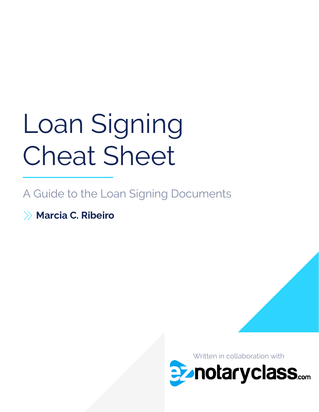# Loan Signing Cheat Sheet

A Guide to the Loan Signing Documents

Marcia C. Ribeiro

Written in collaboration with**Penotaryclass....**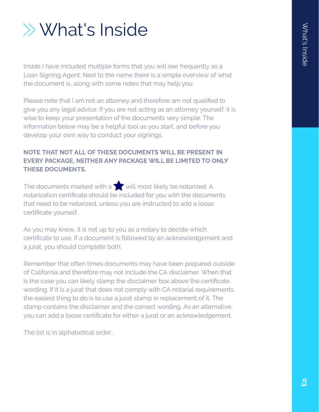# What's Inside

Inside I have included multiple forms that you will see frequently as a Loan Signing Agent. Next to the name there is a simple overview of what the document is, along with some notes that may help you.

Please note that I am not an attorney and therefore am not qualified to give you any legal advice. If you are not acting as an attorney yourself, it is wise to keep your presentation of the documents very simple. The information below may be a helpful tool as you start, and before you develop your own way to conduct your signings.

#### NOTE THAT NOT ALL OF THESE DOCUMENTS WILL BE PRESENT IN EVERY PACKAGE, NEITHER ANY PACKAGE WILL BE LIMITED TO ONLY THESE DOCUMENTS.

The documents marked with a  $\sum$  will most likely be notarized. A notarization certificate should be included for you with the documents that need to be notarized, unless you are instructed to add a loose certificate yourself.

As you may know, it is not up to you as a notary to decide which certificate to use. If a document is followed by an acknowledgement and a jurat, you should complete both.

Remember that often times documents may have been prepared outside of California and therefore may not include the CA disclaimer. When that is the case you can likely stamp the disclaimer box above the certificate wording. If it is a jurat that does not comply with CA notarial requirements, the easiest thing to do is to use a jurat stamp in replacement of it. The stamp contains the disclaimer and the correct wording. As an alternative, you can add a loose certificate for either a jurat or an acknowledgement.

The list is in alphabetical order...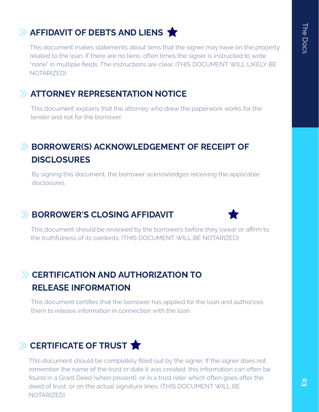# $\gg$  AFFIDAVIT OF DEBTS AND LIENS  $\bigstar$

This document makes statements about liens that the signer may have on the property related to the loan. If there are no liens, often times the signer is instructed to write "none" in multiple fields. The instructions are clear. (THIS DOCUMENT WILL LIKELY BE NOTARIZED)

#### ATTORNEY REPRESENTATION NOTICE

This document explains that the attorney who drew the paperwork works for the lender and not for the borrower.

# BORROWER(S) ACKNOWLEDGEMENT OF RECEIPT OF **DISCLOSURES**

By signing this document, the borrower acknowledges receiving the applicable disclosures.

#### BORROWER'S CLOSING AFFIDAVIT



This document should be reviewed by the borrowers before they swear or affirm to the truthfulness of its contents. (THIS DOCUMENT WILL BE NOTARIZED)

# **EXAMPLE 20 AND AUTHORIZATION TO** RELEASE INFORMATION

This document certifies that the borrower has applied for the loan and authorizes them to release information in connection with the loan.

# $\gg$  CERTIFICATE OF TRUST  $\bigstar$

remember the name of the trust or date it was created, this information can often t<br>found in a Grant Deed (when present), or in a trust rider which often goes after the This document should be completely filled out by the signer. If the signer does not remember the name of the trust or date it was created, this information can often be deed of trust, or on the actual signature lines. (THIS DOCUMENT WILL BE NOTARIZED)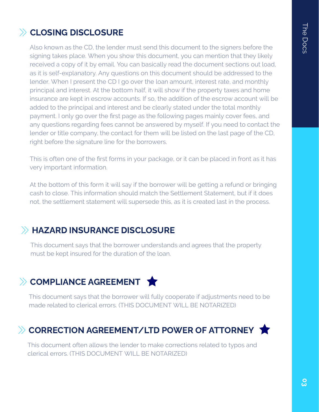# **ELOSING DISCLOSURE**

Also known as the CD, the lender must send this document to the signers before the signing takes place. When you show this document, you can mention that they likely received a copy of it by email. You can basically read the document sections out load, as it is self-explanatory. Any questions on this document should be addressed to the lender. When I present the CD I go over the loan amount, interest rate, and monthly principal and interest. At the bottom half, it will show if the property taxes and home insurance are kept in escrow accounts. If so, the addition of the escrow account will be added to the principal and interest and be clearly stated under the total monthly payment. I only go over the first page as the following pages mainly cover fees, and any questions regarding fees cannot be answered by myself. If you need to contact the lender or title company, the contact for them will be listed on the last page of the CD, right before the signature line for the borrowers.

This is often one of the first forms in your package, or it can be placed in front as it has very important information.

At the bottom of this form it will say if the borrower will be getting a refund or bringing cash to close. This information should match the Settlement Statement, but if it does not, the settlement statement will supersede this, as it is created last in the process.

# HAZARD INSURANCE DISCLOSURE

This document says that the borrower understands and agrees that the property must be kept insured for the duration of the loan.

# $\gg$  COMPLIANCE AGREEMENT

made related to clerical errors. (THIS DOCUMENT WILL BE NOTARIZED) This document says that the borrower will fully cooperate if adjustments need to be

# $\gg$  CORRECTION AGREEMENT/LTD POWER OF ATTORNEY  $\bigstar$

A clerical errors. (THIS DOCUMENT WILL BE NOTARIZED) This document often allows the lender to make corrections related to typos and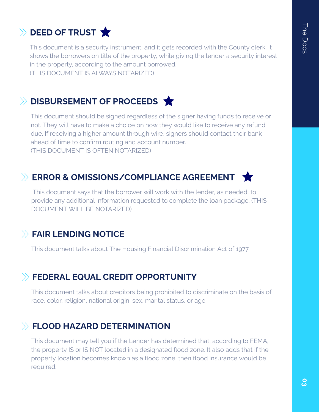# $\rightarrow$  DEED OF TRUST

This document is a security instrument, and it gets recorded with the County clerk. It shows the borrowers on title of the property, while giving the lender a security interest in the property, according to the amount borrowed. (THIS DOCUMENT IS ALWAYS NOTARIZED)

# DISBURSEMENT OF PROCEEDS

This document should be signed regardless of the signer having funds to receive or not. They will have to make a choice on how they would like to receive any refund due. If receiving a higher amount through wire, signers should contact their bank ahead of time to confirm routing and account number. (THIS DOCUMENT IS OFTEN NOTARIZED)

# ERROR & OMISSIONS/COMPLIANCE AGREEMENT

 This document says that the borrower will work with the lender, as needed, to provide any additional information requested to complete the loan package. (THIS DOCUMENT WILL BE NOTARIZED)

#### **EAIR LENDING NOTICE**

This document talks about The Housing Financial Discrimination Act of 1977

#### FEDERAL EQUAL CREDIT OPPORTUNITY

This document talks about creditors being prohibited to discriminate on the basis of race, color, religion, national origin, sex, marital status, or age.

#### FLOOD HAZARD DETERMINATION

This document may tell you if the Lender has determined that, according to FEMA, the property IS or IS NOT located in a designated flood zone. It also adds that if the property location becomes known as a flood zone, then flood insurance would be required.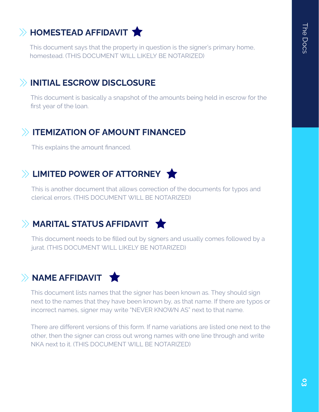# $\gg$  HOMESTEAD AFFIDAVIT  $\bigstar$

This document says that the property in question is the signer's primary home, homestead. (THIS DOCUMENT WILL LIKELY BE NOTARIZED)

#### INITIAL ESCROW DISCLOSURE

This document is basically a snapshot of the amounts being held in escrow for the first year of the loan.

#### **ITEMIZATION OF AMOUNT FINANCED**

This explains the amount financed.

# $\gg$  LIMITED POWER OF ATTORNEY  $\blacktriangleright$

This is another document that allows correction of the documents for typos and clerical errors. (THIS DOCUMENT WILL BE NOTARIZED)

#### $\gg$  MARITAL STATUS AFFIDAVIT  $\bigstar$

This document needs to be filled out by signers and usually comes followed by a jurat. (THIS DOCUMENT WILL LIKELY BE NOTARIZED)

# $\rightarrow$  NAME AFFIDAVIT  $\rightarrow$

This document lists names that the signer has been known as. They should sign next to the names that they have been known by, as that name. If there are typos or incorrect names, signer may write "NEVER KNOWN AS" next to that name.

There are different versions of this form. If name variations are listed one next to the other, then the signer can cross out wrong names with one line through and write NKA next to it. (THIS DOCUMENT WILL BE NOTARIZED)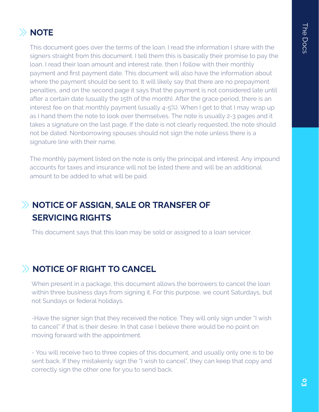### $\gg$  NOTE

This document goes over the terms of the loan. I read the information I share with the signers straight from this document. I tell them this is basically their promise to pay the loan. I read their loan amount and interest rate, then I follow with their monthly payment and first payment date. This document will also have the information about where the payment should be sent to. It will likely say that there are no prepayment penalties, and on the second page it says that the payment is not considered late until after a certain date (usually the 15th of the month). After the grace period, there is an interest fee on that monthly payment (usually 4-5%). When I get to that I may wrap up as I hand them the note to look over themselves. The note is usually 2-3 pages and it takes a signature on the last page. If the date is not clearly requested, the note should not be dated. Nonborrowing spouses should not sign the note unless there is a signature line with their name.

The monthly payment listed on the note is only the principal and interest. Any impound accounts for taxes and insurance will not be listed there and will be an additional amount to be added to what will be paid.

# X NOTICE OF ASSIGN, SALE OR TRANSFER OF SERVICING RIGHTS

This document says that this loan may be sold or assigned to a loan servicer.

#### $\rightarrow$  NOTICE OF RIGHT TO CANCEL

When present in a package, this document allows the borrowers to cancel the loan within three business days from signing it. For this purpose, we count Saturdays, but not Sundays or federal holidays.

-Have the signer sign that they received the notice. They will only sign under "I wish to cancel" if that is their desire. In that case I believe there would be no point on moving forward with the appointment.

- You will receive two to three copies of this document, and usually only one is to be sent back. If they mistakenly sign the "I wish to cancel", they can keep that copy and correctly sign the other one for you to send back.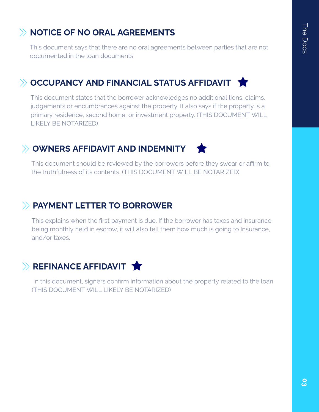# NOTICE OF NO ORAL AGREEMENTS

This document says that there are no oral agreements between parties that are not documented in the loan documents.

# $\gg$  OCCUPANCY AND FINANCIAL STATUS AFFIDAVIT  $\blacktriangleright$

This document states that the borrower acknowledges no additional liens, claims, judgements or encumbrances against the property. It also says if the property is a primary residence, second home, or investment property. (THIS DOCUMENT WILL LIKELY BE NOTARIZED)

# OWNERS AFFIDAVIT AND INDEMNITY

This document should be reviewed by the borrowers before they swear or affirm to the truthfulness of its contents. (THIS DOCUMENT WILL BE NOTARIZED)

#### PAYMENT LETTER TO BORROWER

This explains when the first payment is due. If the borrower has taxes and insurance being monthly held in escrow, it will also tell them how much is going to Insurance, and/or taxes.

# $\gg$  REFINANCE AFFIDAVIT  $\bigstar$

 In this document, signers confirm information about the property related to the loan. (THIS DOCUMENT WILL LIKELY BE NOTARIZED)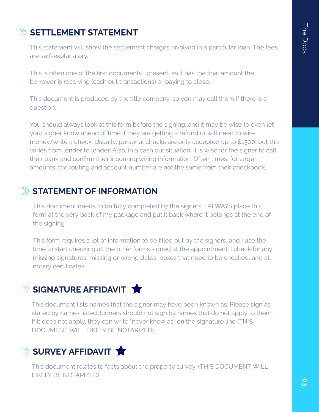# $\gg$  SETTLEMENT STATEMENT

This statement will show the settlement charges involved in a particular loan. The fees are self-explanatory.

This is often one of the first documents I present, as it has the final amount the borrower is receiving (cash out transactions) or paying to close.

This document is produced by the title company, so you may call them if there is a question.

You should always look at this form before the signing, and it may be wise to even let your signer know ahead of time if they are getting a refund or will need to wire money/write a check. Usually, personal checks are only accepted up to \$1500, but this varies from lender to lender. Also, in a cash out situation, it is wise for the signer to call their bank and confirm their incoming wiring information. Often times, for larger amounts, the routing and account number are not the same from their checkbook.

#### $\gg$  STATEMENT OF INFORMATION

This document needs to be fully completed by the signers. I ALWAYS place this form at the very back of my package and put it back where it belongs at the end of the signing.

This form requires a lot of information to be filled out by the signers, and I use the time to start checking all the other forms signed at the appointment. I check for any missing signatures, missing or wrong dates, boxes that need to be checked, and all notary certificates.

# $\gg$  SIGNATURE AFFIDAVIT  $\bigstar$

This document lists names that the signer may have been known as. Please sign as stated by names listed. Signers should not sign by names that do not apply to them. If it does not apply, they can write "never know as" on the signature line (THIS DOCUMENT WILL LIKELY BE NOTARIZED)

# $\gg$  SURVEY AFFIDAVIT  $\bigstar$

This document relates to facts about the property survey. (THIS DOCUMENT WILL LIKELY BE NOTARIZED)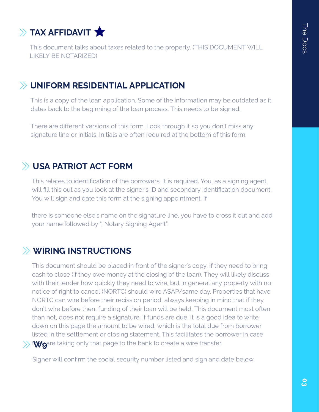

This document talks about taxes related to the property. (THIS DOCUMENT WILL LIKELY BE NOTARIZED)

#### UNIFORM RESIDENTIAL APPLICATION

This is a copy of the loan application. Some of the information may be outdated as it dates back to the beginning of the loan process. This needs to be signed.

There are different versions of this form. Look through it so you don't miss any signature line or initials. Initials are often required at the bottom of this form.

#### USA PATRIOT ACT FORM

This relates to identification of the borrowers. It is required. You, as a signing agent, will fill this out as you look at the signer's ID and secondary identification document. You will sign and date this form at the signing appointment. If

there is someone else's name on the signature line, you have to cross it out and add your name followed by ", Notary Signing Agent".

#### WIRING INSTRUCTIONS

This document should be placed in front of the signer's copy, if they need to bring cash to close (if they owe money at the closing of the loan). They will likely discuss with their lender how quickly they need to wire, but in general any property with no notice of right to cancel (NORTC) should wire ASAP/same day. Properties that have NORTC can wire before their recission period, always keeping in mind that if they don't wire before then, funding of their loan will be held. This document most often than not, does not require a signature. If funds are due, it is a good idea to write down on this page the amount to be wired, which is the total due from borrower listed in the settlement or closing statement. This facilitates the borrower in case t**wo**are taking only that page to the bank to create a wire transfer.

Signer will confirm the social security number listed and sign and date below.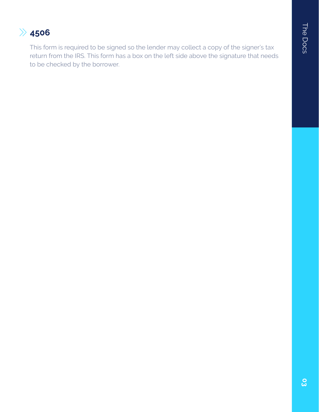# $\gg$  4506

This form is required to be signed so the lender may collect a copy of the signer's tax return from the IRS. This form has a box on the left side above the signature that needs to be checked by the borrower.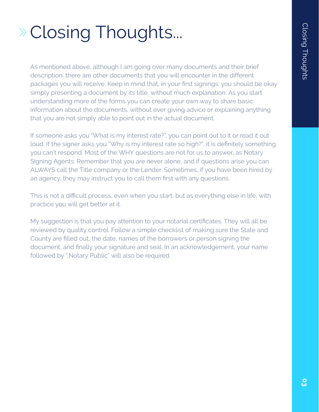# Closing Thoughts...

As mentioned above, although I am going over many documents and their brief description, there are other documents that you will encounter in the different packages you will receive. Keep in mind that, in your first signings, you should be okay simply presenting a document by its title, without much explanation. As you start understanding more of the forms you can create your own way to share basic information about the documents, without ever giving advice or explaining anything that you are not simply able to point out in the actual document.

If someone asks you "What is my interest rate?", you can point out to it or read it out loud. If the signer asks you "Why is my interest rate so high?", it is definitely something you can't respond. Most of the WHY questions are not for us to answer, as Notary Signing Agents. Remember that you are never alone, and if questions arise you can ALWAYS call the Title company or the Lender. Sometimes, if you have been hired by an agency, they may instruct you to call them first with any questions.

This is not a difficult process, even when you start, but as everything else in life, with practice you will get better at it.

My suggestion is that you pay attention to your notarial certificates. They will all be reviewed by quality control. Follow a simple checklist of making sure the State and County are filled out, the date, names of the borrowers or person signing the document, and finally your signature and seal. In an acknowledgement, your name followed by ",Notary Public" will also be required.